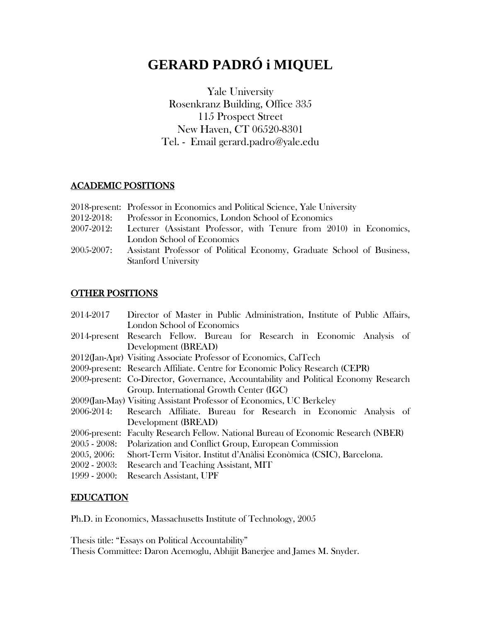# **GERARD PADRÓ i MIQUEL**

Yale University Rosenkranz Building, Office 335 115 Prospect Street New Haven, CT 06520-8301 Tel. - Email gerard.padro@yale.edu

## ACADEMIC POSITIONS

- 2018-present: Professor in Economics and Political Science, Yale University
- 2012-2018: Professor in Economics, London School of Economics
- 2007-2012: Lecturer (Assistant Professor, with Tenure from 2010) in Economics, London School of Economics
- 2005-2007: Assistant Professor of Political Economy, Graduate School of Business, Stanford University

# OTHER POSITIONS

| 2014-2017       | Director of Master in Public Administration, Institute of Public Affairs,            |
|-----------------|--------------------------------------------------------------------------------------|
|                 | London School of Economics                                                           |
|                 | 2014-present Research Fellow. Bureau for Research in Economic Analysis of            |
|                 | Development (BREAD)                                                                  |
|                 | 2012(Jan-Apr) Visiting Associate Professor of Economics, CalTech                     |
|                 | 2009-present: Research Affiliate. Centre for Economic Policy Research (CEPR)         |
|                 | 2009-present: Co-Director, Governance, Accountability and Political Economy Research |
|                 | Group. International Growth Center (IGC)                                             |
|                 | 2009 (Jan-May) Visiting Assistant Professor of Economics, UC Berkeley                |
| 2006-2014:      | Research Affiliate. Bureau for Research in Economic Analysis of                      |
|                 | Development (BREAD)                                                                  |
|                 | 2006-present: Faculty Research Fellow. National Bureau of Economic Research (NBER)   |
| $2005 - 2008$ : | Polarization and Conflict Group, European Commission                                 |
| 2005, 2006:     | Short-Term Visitor. Institut d'Anàlisi Econòmica (CSIC), Barcelona.                  |
| $2002 - 2003$ : | Research and Teaching Assistant, MIT                                                 |
| $1999 - 2000$ : | <b>Research Assistant, UPF</b>                                                       |

# EDUCATION

Ph.D. in Economics, Massachusetts Institute of Technology, 2005

Thesis title: "Essays on Political Accountability"

Thesis Committee: Daron Acemoglu, Abhijit Banerjee and James M. Snyder.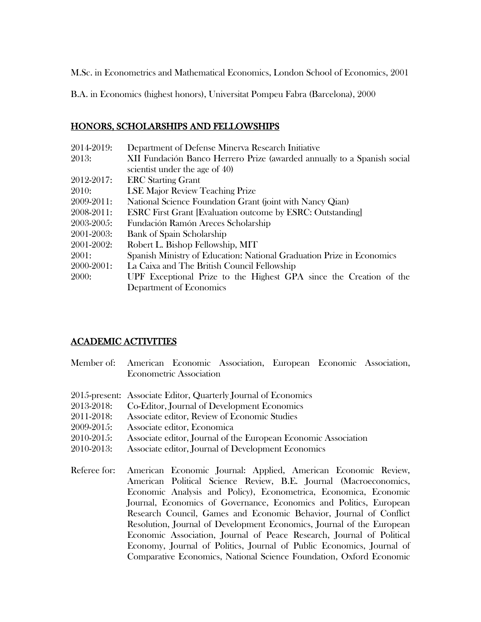M.Sc. in Econometrics and Mathematical Economics, London School of Economics, 2001

B.A. in Economics (highest honors), Universitat Pompeu Fabra (Barcelona), 2000

## HONORS, SCHOLARSHIPS AND FELLOWSHIPS

| 2014-2019: | Department of Defense Minerva Research Initiative                       |
|------------|-------------------------------------------------------------------------|
| 2013:      | XII Fundación Banco Herrero Prize (awarded annually to a Spanish social |
|            | scientist under the age of 40)                                          |
| 2012-2017: | <b>ERC</b> Starting Grant                                               |
| 2010:      | <b>LSE Major Review Teaching Prize</b>                                  |
| 2009-2011: | National Science Foundation Grant (joint with Nancy Qian)               |
| 2008-2011: | <b>ESRC</b> First Grant [Evaluation outcome by ESRC: Outstanding]       |
| 2003-2005: | Fundación Ramón Areces Scholarship                                      |
| 2001-2003: | <b>Bank of Spain Scholarship</b>                                        |
| 2001-2002: | Robert L. Bishop Fellowship, MIT                                        |
| 2001:      | Spanish Ministry of Education: National Graduation Prize in Economics   |
| 2000-2001: | La Caixa and The British Council Fellowship                             |
| 2000:      | UPF Exceptional Prize to the Highest GPA since the Creation of the      |
|            | Department of Economics                                                 |

# ACADEMIC ACTIVITIES

|              | Member of: American Economic Association, European Economic Association, |
|--------------|--------------------------------------------------------------------------|
|              | <b>Econometric Association</b>                                           |
|              | 2015-present: Associate Editor, Quarterly Journal of Economics           |
| 2013-2018:   | Co-Editor, Journal of Development Economics                              |
| 2011-2018:   | Associate editor, Review of Economic Studies                             |
| 2009-2015:   | Associate editor, Economica                                              |
| 2010-2015:   | Associate editor, Journal of the European Economic Association           |
| 2010-2013:   | Associate editor, Journal of Development Economics                       |
| Referee for: | American Economic Journal: Applied, American Economic Review,            |
|              | American Political Science Review, B.E. Journal (Macroeconomics,         |
|              | Economic Analysis and Policy), Econometrica, Economica, Economic         |
|              | Journal, Economics of Governance, Economics and Politics, European       |
|              | Research Council, Games and Economic Behavior, Journal of Conflict       |
|              | Resolution, Journal of Development Economics, Journal of the European    |
|              | Economic Association, Journal of Peace Research, Journal of Political    |
|              | Economy, Journal of Politics, Journal of Public Economics, Journal of    |
|              | Comparative Economics, National Science Foundation, Oxford Economic      |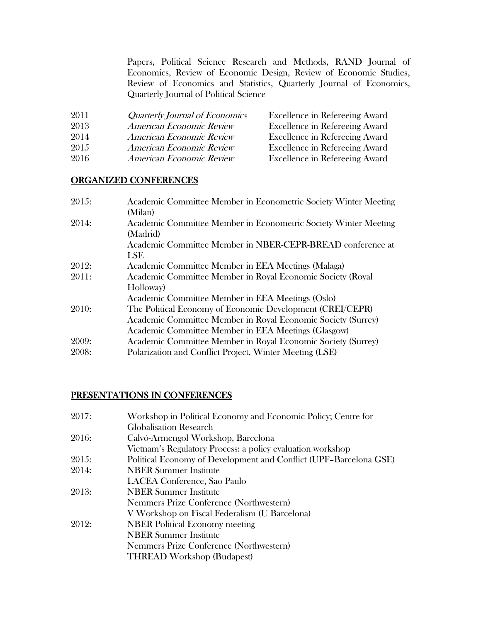Papers, Political Science Research and Methods, RAND Journal of Economics, Review of Economic Design, Review of Economic Studies, Review of Economics and Statistics, Quarterly Journal of Economics, Quarterly Journal of Political Science

| 2011 | Quarterly Journal of Economics | Excellence in Refereeing Award |
|------|--------------------------------|--------------------------------|
| 2013 | American Economic Review       | Excellence in Refereeing Award |
| 2014 | American Economic Review       | Excellence in Refereeing Award |
| 2015 | American Economic Review       | Excellence in Refereeing Award |
| 2016 | American Economic Review       | Excellence in Refereeing Award |

#### ORGANIZED CONFERENCES

| 2015: | Academic Committee Member in Econometric Society Winter Meeting |
|-------|-----------------------------------------------------------------|
|       | (Milan)                                                         |
| 2014: | Academic Committee Member in Econometric Society Winter Meeting |
|       | (Madrid)                                                        |
|       | Academic Committee Member in NBER-CEPR-BREAD conference at      |
|       | <b>LSE</b>                                                      |
| 2012: | Academic Committee Member in EEA Meetings (Malaga)              |
| 2011: | Academic Committee Member in Royal Economic Society (Royal      |
|       | Holloway)                                                       |
|       | Academic Committee Member in EEA Meetings (Oslo)                |
| 2010: | The Political Economy of Economic Development (CREI/CEPR)       |
|       | Academic Committee Member in Royal Economic Society (Surrey)    |
|       | Academic Committee Member in EEA Meetings (Glasgow)             |
| 2009: | Academic Committee Member in Royal Economic Society (Surrey)    |
| 2008: | Polarization and Conflict Project, Winter Meeting (LSE)         |

#### PRESENTATIONS IN CONFERENCES

| Workshop in Political Economy and Economic Policy; Centre for     |
|-------------------------------------------------------------------|
| Globalisation Research                                            |
| Calvó-Armengol Workshop, Barcelona                                |
| Vietnam's Regulatory Process: a policy evaluation workshop        |
| Political Economy of Development and Conflict (UPF-Barcelona GSE) |
| <b>NBER Summer Institute</b>                                      |
| LACEA Conference, Sao Paulo                                       |
| <b>NBER Summer Institute</b>                                      |
| Nemmers Prize Conference (Northwestern)                           |
| V Workshop on Fiscal Federalism (U Barcelona)                     |
| <b>NBER</b> Political Economy meeting                             |
| <b>NBER Summer Institute</b>                                      |
| Nemmers Prize Conference (Northwestern)                           |
| <b>THREAD Workshop (Budapest)</b>                                 |
|                                                                   |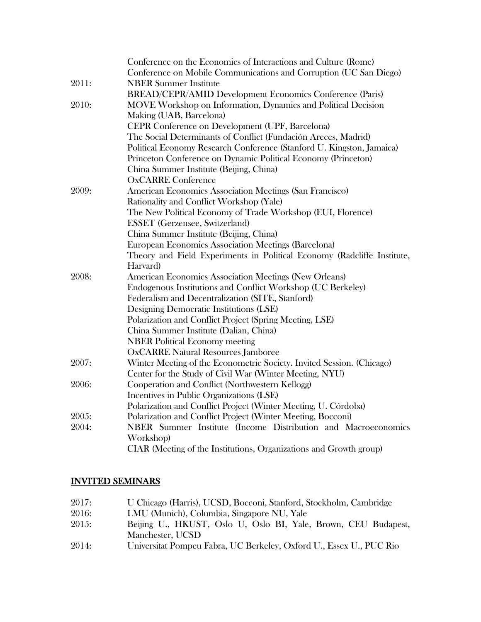|       | Conference on the Economics of Interactions and Culture (Rome)          |
|-------|-------------------------------------------------------------------------|
|       | Conference on Mobile Communications and Corruption (UC San Diego)       |
| 2011: | <b>NBER Summer Institute</b>                                            |
|       | BREAD/CEPR/AMID Development Economics Conference (Paris)                |
| 2010: | MOVE Workshop on Information, Dynamics and Political Decision           |
|       | Making (UAB, Barcelona)                                                 |
|       | CEPR Conference on Development (UPF, Barcelona)                         |
|       | The Social Determinants of Conflict (Fundación Areces, Madrid)          |
|       | Political Economy Research Conference (Stanford U. Kingston, Jamaica)   |
|       | Princeton Conference on Dynamic Political Economy (Princeton)           |
|       | China Summer Institute (Beijing, China)                                 |
|       | <b>OxCARRE Conference</b>                                               |
| 2009: | American Economics Association Meetings (San Francisco)                 |
|       | Rationality and Conflict Workshop (Yale)                                |
|       | The New Political Economy of Trade Workshop (EUI, Florence)             |
|       | <b>ESSET</b> (Gerzensee, Switzerland)                                   |
|       | China Summer Institute (Beijing, China)                                 |
|       | European Economics Association Meetings (Barcelona)                     |
|       | Theory and Field Experiments in Political Economy (Radcliffe Institute, |
|       | Harvard)                                                                |
| 2008: | American Economics Association Meetings (New Orleans)                   |
|       | Endogenous Institutions and Conflict Workshop (UC Berkeley)             |
|       | Federalism and Decentralization (SITE, Stanford)                        |
|       | Designing Democratic Institutions (LSE)                                 |
|       | Polarization and Conflict Project (Spring Meeting, LSE)                 |
|       | China Summer Institute (Dalian, China)                                  |
|       | <b>NBER Political Economy meeting</b>                                   |
|       | <b>OxCARRE Natural Resources Jamboree</b>                               |
| 2007: | Winter Meeting of the Econometric Society. Invited Session. (Chicago)   |
|       | Center for the Study of Civil War (Winter Meeting, NYU)                 |
| 2006: | Cooperation and Conflict (Northwestern Kellogg)                         |
|       | Incentives in Public Organizations (LSE)                                |
|       | Polarization and Conflict Project (Winter Meeting, U. Córdoba)          |
| 2005: | Polarization and Conflict Project (Winter Meeting, Bocconi)             |
| 2004: | NBER Summer Institute (Income Distribution and Macroeconomics           |
|       | Workshop)                                                               |
|       | CIAR (Meeting of the Institutions, Organizations and Growth group)      |

#### INVITED SEMINARS

| 2017: | U Chicago (Harris), UCSD, Bocconi, Stanford, Stockholm, Cambridge   |
|-------|---------------------------------------------------------------------|
| 2016: | LMU (Munich), Columbia, Singapore NU, Yale                          |
| 2015: | Beijing U., HKUST, Oslo U, Oslo BI, Yale, Brown, CEU Budapest,      |
|       | Manchester, UCSD                                                    |
| 2014: | Universitat Pompeu Fabra, UC Berkeley, Oxford U., Essex U., PUC Rio |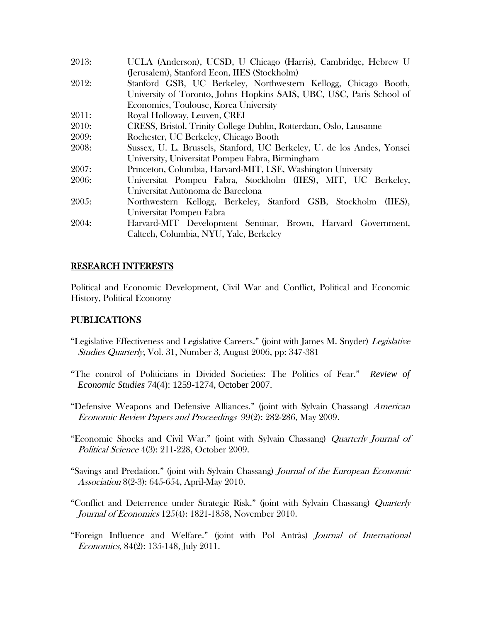| 2013: | UCLA (Anderson), UCSD, U Chicago (Harris), Cambridge, Hebrew U         |
|-------|------------------------------------------------------------------------|
|       | (Jerusalem), Stanford Econ, IIES (Stockholm)                           |
| 2012: | Stanford GSB, UC Berkeley, Northwestern Kellogg, Chicago Booth,        |
|       | University of Toronto, Johns Hopkins SAIS, UBC, USC, Paris School of   |
|       | Economics, Toulouse, Korea University                                  |
| 2011: | Royal Holloway, Leuven, CREI                                           |
| 2010: | CRESS, Bristol, Trinity College Dublin, Rotterdam, Oslo, Lausanne      |
| 2009: | Rochester, UC Berkeley, Chicago Booth                                  |
| 2008: | Sussex, U. L. Brussels, Stanford, UC Berkeley, U. de los Andes, Yonsei |
|       | University, Universitat Pompeu Fabra, Birmingham                       |
| 2007: | Princeton, Columbia, Harvard-MIT, LSE, Washington University           |
| 2006: | Universitat Pompeu Fabra, Stockholm (IIES), MIT, UC Berkeley,          |
|       | Universitat Autònoma de Barcelona                                      |
| 2005: | Northwestern Kellogg, Berkeley, Stanford GSB, Stockholm (IIES),        |
|       | Universitat Pompeu Fabra                                               |
| 2004: | Harvard-MIT Development Seminar, Brown, Harvard Government,            |
|       | Caltech, Columbia, NYU, Yale, Berkeley                                 |

#### RESEARCH INTERESTS

Political and Economic Development, Civil War and Conflict, Political and Economic History, Political Economy

# PUBLICATIONS

- "Legislative Effectiveness and Legislative Careers." (joint with James M. Snyder) Legislative Studies Quarterly, Vol. 31, Number 3, August 2006, pp: 347-381
- "The control of Politicians in Divided Societies: The Politics of Fear." *Review of Economic Studies* 74(4): 1259-1274, October 2007.
- "Defensive Weapons and Defensive Alliances." (joint with Sylvain Chassang) American Economic Review Papers and Proceedings 99(2): 282-286, May 2009.
- "Economic Shocks and Civil War." (joint with Sylvain Chassang) Quarterly Journal of Political Science 4(3): 211-228, October 2009.
- "Savings and Predation." (joint with Sylvain Chassang) Journal of the European Economic Association 8(2-3): 645-654, April-May 2010.
- "Conflict and Deterrence under Strategic Risk." (joint with Sylvain Chassang) Quarterly Journal of Economics 125(4): 1821-1858, November 2010.
- "Foreign Influence and Welfare." (joint with Pol Antràs) Journal of International Economics, 84(2): 135-148, July 2011.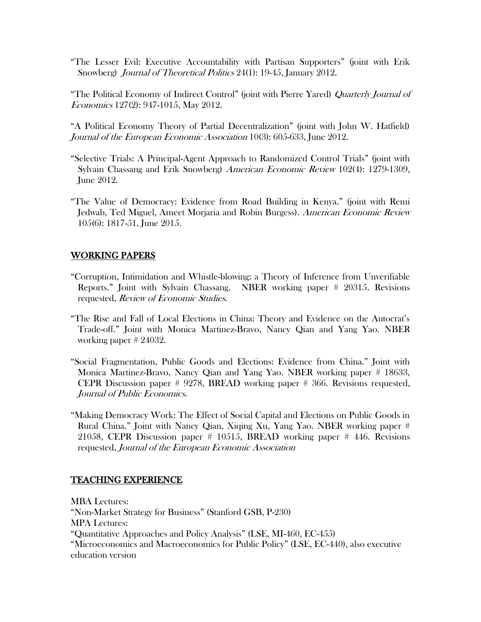"The Lesser Evil: Executive Accountability with Partisan Supporters" (joint with Erik Snowberg) Journal of Theoretical Politics 24(1): 19-45, January 2012.

"The Political Economy of Indirect Control" (joint with Pierre Yared) Quarterly Journal of Economics 127(2): 947-1015, May 2012.

"A Political Economy Theory of Partial Decentralization" (joint with John W. Hatfield) Journal of the European Economic Association 10(3): 605-633, June 2012.

- "Selective Trials: A Principal-Agent Approach to Randomized Control Trials" (joint with Sylvain Chassang and Erik Snowberg) American Economic Review 102(4): 1279-1309, June 2012.
- "The Value of Democracy: Evidence from Road Building in Kenya." (joint with Remi Jedwab, Ted Miguel, Ameet Morjaria and Robin Burgess). American Economic Review 105(6): 1817-51, June 2015.

#### WORKING PAPERS

- "Corruption, Intimidation and Whistle-blowing: a Theory of Inference from Unverifiable Reports." Joint with Sylvain Chassang. NBER working paper # 20315. Revisions requested, Review of Economic Studies.
- "The Rise and Fall of Local Elections in China: Theory and Evidence on the Autocrat's Trade-off." Joint with Monica Martinez-Bravo, Nancy Qian and Yang Yao. NBER working paper # 24032.
- "Social Fragmentation, Public Goods and Elections: Evidence from China." Joint with Monica Martinez-Bravo, Nancy Qian and Yang Yao. NBER working paper # 18633, CEPR Discussion paper # 9278, BREAD working paper # 366. Revisions requested, Journal of Public Economics.
- "Making Democracy Work: The Effect of Social Capital and Elections on Public Goods in Rural China." Joint with Nancy Qian, Xiqing Xu, Yang Yao. NBER working paper # 21058, CEPR Discussion paper # 10515, BREAD working paper # 446. Revisions requested, Journal of the European Economic Association

#### TEACHING EXPERIENCE

MBA Lectures: "Non-Market Strategy for Business" (Stanford GSB, P-230) MPA Lectures: "Quantitative Approaches and Policy Analysis" (LSE, MI-460, EC-455) "Microeconomics and Macroeconomics for Public Policy" (LSE, EC-440), also executive education version